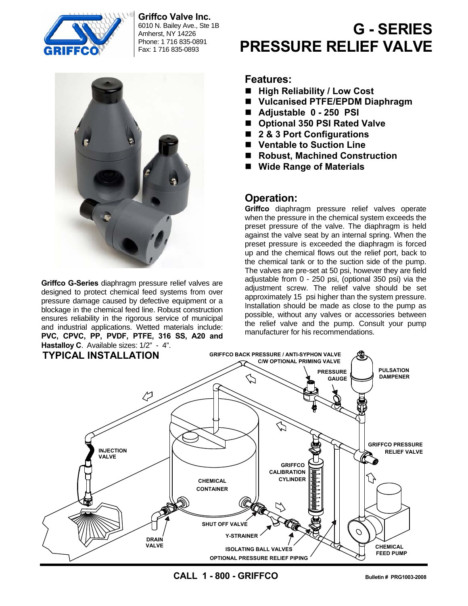

**Griffco Valve Inc.**  6010 N. Bailey Ave., Ste 1B

Amherst, NY 14226 Phone: 1 716 835-0891 Fax: 1 716 835-0893



**Griffco G-Series** diaphragm pressure relief valves are designed to protect chemical feed systems from over pressure damage caused by defective equipment or a blockage in the chemical feed line. Robust construction ensures reliability in the rigorous service of municipal and industrial applications. Wetted materials include: **PVC, CPVC, PP, PVDF, PTFE, 316 SS, A20 and Hastalloy C**. Available sizes: 1/2" - 4".

# **G - SERIES PRESSURE RELIEF VALVE**

#### **Features:**

- High Reliability / Low Cost
- **Vulcanised PTFE/EPDM Diaphragm**
- **Adjustable 0 250 PSI**
- Optional 350 PSI Rated Valve
- 2 & 3 Port Configurations
- Ventable to Suction Line
- Robust, Machined Construction
- **Wide Range of Materials**

# **Operation:**

**Griffco** diaphragm pressure relief valves operate when the pressure in the chemical system exceeds the preset pressure of the valve. The diaphragm is held against the valve seat by an internal spring. When the preset pressure is exceeded the diaphragm is forced up and the chemical flows out the relief port, back to the chemical tank or to the suction side of the pump. The valves are pre-set at 50 psi, however they are field adjustable from 0 - 250 psi, (optional 350 psi) via the adjustment screw. The relief valve should be set approximately 15 psi higher than the system pressure. Installation should be made as close to the pump as possible, without any valves or accessories between the relief valve and the pump. Consult your pump manufacturer for his recommendations.



**CALL 1 - 800 - GRIFFCO Bulletin # PRG1003-2008**